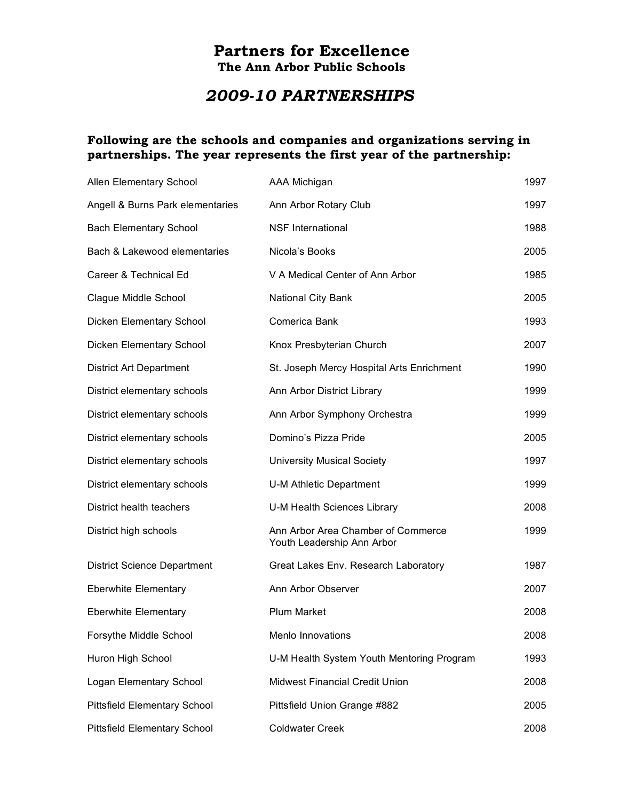## **Partners for Excellence The Ann Arbor Public Schools**

## *2009-10 PARTNERSHIPS*

## **Following are the schools and companies and organizations serving in partnerships. The year represents the first year of the partnership:**

| Allen Elementary School             | AAA Michigan                                                     | 1997 |
|-------------------------------------|------------------------------------------------------------------|------|
| Angell & Burns Park elementaries    | Ann Arbor Rotary Club                                            | 1997 |
| <b>Bach Elementary School</b>       | <b>NSF International</b>                                         | 1988 |
| Bach & Lakewood elementaries        | Nicola's Books                                                   | 2005 |
| Career & Technical Ed               | V A Medical Center of Ann Arbor                                  | 1985 |
| Clague Middle School                | National City Bank                                               | 2005 |
| Dicken Elementary School            | Comerica Bank                                                    | 1993 |
| Dicken Elementary School            | Knox Presbyterian Church                                         | 2007 |
| <b>District Art Department</b>      | St. Joseph Mercy Hospital Arts Enrichment                        | 1990 |
| District elementary schools         | Ann Arbor District Library                                       | 1999 |
| District elementary schools         | Ann Arbor Symphony Orchestra                                     | 1999 |
| District elementary schools         | Domino's Pizza Pride                                             | 2005 |
| District elementary schools         | <b>University Musical Society</b>                                | 1997 |
| District elementary schools         | U-M Athletic Department                                          | 1999 |
| District health teachers            | U-M Health Sciences Library                                      | 2008 |
| District high schools               | Ann Arbor Area Chamber of Commerce<br>Youth Leadership Ann Arbor | 1999 |
| <b>District Science Department</b>  | Great Lakes Env. Research Laboratory                             | 1987 |
| <b>Eberwhite Elementary</b>         | Ann Arbor Observer                                               | 2007 |
| <b>Eberwhite Elementary</b>         | <b>Plum Market</b>                                               | 2008 |
| Forsythe Middle School              | Menlo Innovations                                                | 2008 |
| Huron High School                   | U-M Health System Youth Mentoring Program                        | 1993 |
| Logan Elementary School             | <b>Midwest Financial Credit Union</b>                            | 2008 |
| <b>Pittsfield Elementary School</b> | Pittsfield Union Grange #882                                     | 2005 |
| <b>Pittsfield Elementary School</b> | <b>Coldwater Creek</b>                                           | 2008 |